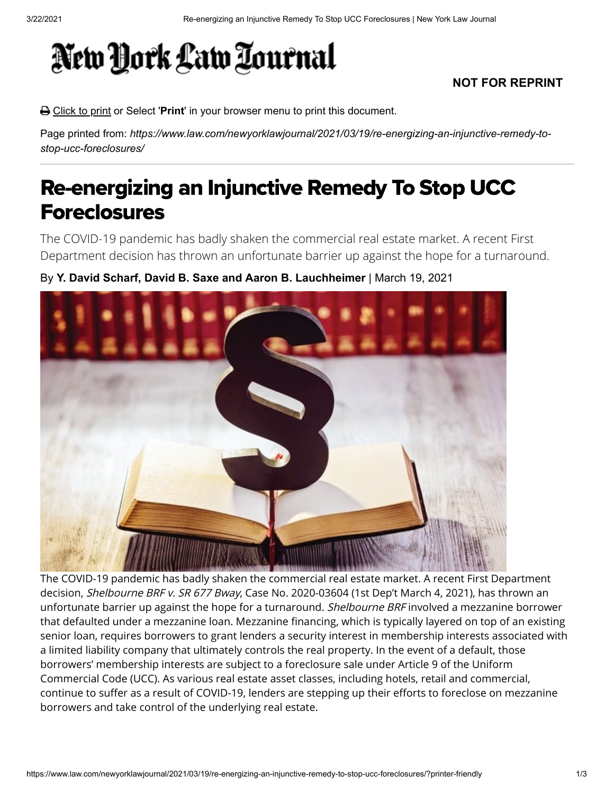## New York Law Tournal

## **NOT FOR REPRINT**

Click to print or Select '**Print**' in your browser menu to print this document.

Page printed from: *https://www.law.com/newyorklawjournal/2021/03/19/re-energizing-an-injunctive-remedy-tostop-ucc-foreclosures/*

## Re-energizing an Injunctive Remedy To Stop UCC Foreclosures

The COVID-19 pandemic has badly shaken the commercial real estate market. A recent First Department decision has thrown an unfortunate barrier up against the hope for a turnaround.

By **Y. David Scharf, David B. Saxe and Aaron B. Lauchheimer** | March 19, 2021



The COVID-19 pandemic has badly shaken the commercial real estate market. A recent First Department decision, Shelbourne BRF v. SR 677 Bway, Case No. 2020-03604 (1st Dep't March 4, 2021), has thrown an unfortunate barrier up against the hope for a turnaround. Shelbourne BRF involved a mezzanine borrower that defaulted under a mezzanine loan. Mezzanine financing, which is typically layered on top of an existing senior loan, requires borrowers to grant lenders a security interest in membership interests associated with a limited liability company that ultimately controls the real property. In the event of a default, those borrowers' membership interests are subject to a foreclosure sale under Article 9 of the Uniform Commercial Code (UCC). As various real estate asset classes, including hotels, retail and commercial, continue to suffer as a result of COVID-19, lenders are stepping up their efforts to foreclose on mezzanine borrowers and take control of the underlying real estate.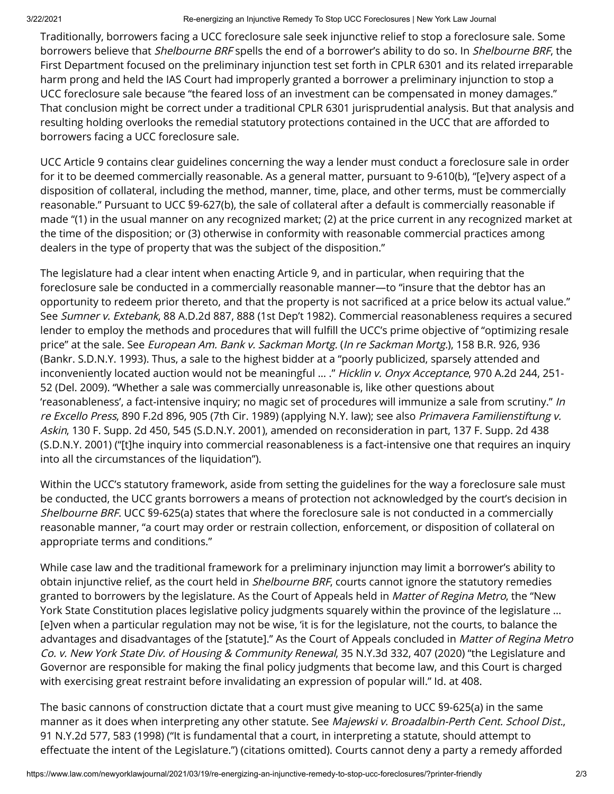## 3/22/2021 Re-energizing an Injunctive Remedy To Stop UCC Foreclosures | New York Law Journal

Traditionally, borrowers facing a UCC foreclosure sale seek injunctive relief to stop a foreclosure sale. Some borrowers believe that *Shelbourne BRF* spells the end of a borrower's ability to do so. In *Shelbourne BRF*, the First Department focused on the preliminary injunction test set forth in CPLR 6301 and its related irreparable harm prong and held the IAS Court had improperly granted a borrower a preliminary injunction to stop a UCC foreclosure sale because "the feared loss of an investment can be compensated in money damages." That conclusion might be correct under a traditional CPLR 6301 jurisprudential analysis. But that analysis and resulting holding overlooks the remedial statutory protections contained in the UCC that are afforded to borrowers facing a UCC foreclosure sale.

UCC Article 9 contains clear guidelines concerning the way a lender must conduct a foreclosure sale in order for it to be deemed commercially reasonable. As a general matter, pursuant to 9-610(b), "[e]very aspect of a disposition of collateral, including the method, manner, time, place, and other terms, must be commercially reasonable." Pursuant to UCC §9-627(b), the sale of collateral after a default is commercially reasonable if made "(1) in the usual manner on any recognized market; (2) at the price current in any recognized market at the time of the disposition; or (3) otherwise in conformity with reasonable commercial practices among dealers in the type of property that was the subject of the disposition."

The legislature had a clear intent when enacting Article 9, and in particular, when requiring that the foreclosure sale be conducted in a commercially reasonable manner—to "insure that the debtor has an opportunity to redeem prior thereto, and that the property is not sacrificed at a price below its actual value." See Sumner v. Extebank, 88 A.D.2d 887, 888 (1st Dep't 1982). Commercial reasonableness requires a secured lender to employ the methods and procedures that will fulfill the UCC's prime objective of "optimizing resale price" at the sale. See European Am. Bank v. Sackman Mortg. (In re Sackman Mortg.), 158 B.R. 926, 936 (Bankr. S.D.N.Y. 1993). Thus, a sale to the highest bidder at a "poorly publicized, sparsely attended and inconveniently located auction would not be meaningful ... ." Hicklin v. Onyx Acceptance, 970 A.2d 244, 251-52 (Del. 2009). "Whether a sale was commercially unreasonable is, like other questions about 'reasonableness', a fact-intensive inquiry; no magic set of procedures will immunize a sale from scrutiny." In re Excello Press, 890 F.2d 896, 905 (7th Cir. 1989) (applying N.Y. law); see also Primavera Familienstiftung v. Askin, 130 F. Supp. 2d 450, 545 (S.D.N.Y. 2001), amended on reconsideration in part, 137 F. Supp. 2d 438 (S.D.N.Y. 2001) ("[t]he inquiry into commercial reasonableness is a fact-intensive one that requires an inquiry into all the circumstances of the liquidation").

Within the UCC's statutory framework, aside from setting the guidelines for the way a foreclosure sale must be conducted, the UCC grants borrowers a means of protection not acknowledged by the court's decision in Shelbourne BRF. UCC §9-625(a) states that where the foreclosure sale is not conducted in a commercially reasonable manner, "a court may order or restrain collection, enforcement, or disposition of collateral on appropriate terms and conditions."

While case law and the traditional framework for a preliminary injunction may limit a borrower's ability to obtain injunctive relief, as the court held in *Shelbourne BRF*, courts cannot ignore the statutory remedies granted to borrowers by the legislature. As the Court of Appeals held in *Matter of Regina Metro*, the "New York State Constitution places legislative policy judgments squarely within the province of the legislature … [e]ven when a particular regulation may not be wise, 'it is for the legislature, not the courts, to balance the advantages and disadvantages of the [statute]." As the Court of Appeals concluded in Matter of Regina Metro Co. v. New York State Div. of Housing & Community Renewal, 35 N.Y.3d 332, 407 (2020) "the Legislature and Governor are responsible for making the final policy judgments that become law, and this Court is charged with exercising great restraint before invalidating an expression of popular will." Id. at 408.

The basic cannons of construction dictate that a court must give meaning to UCC §9-625(a) in the same manner as it does when interpreting any other statute. See Majewski v. Broadalbin-Perth Cent. School Dist., 91 N.Y.2d 577, 583 (1998) ("It is fundamental that a court, in interpreting a statute, should attempt to effectuate the intent of the Legislature.") (citations omitted). Courts cannot deny a party a remedy afforded